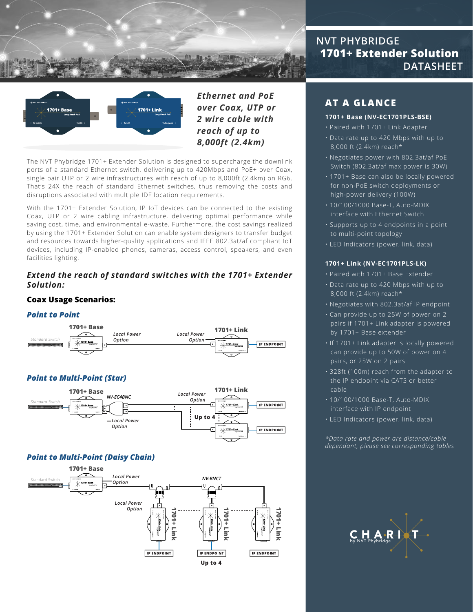



*Ethernet and PoE over Coax, UTP or 2 wire cable with reach of up to 8,000ft (2.4km)*

The NVT Phybridge 1701+ Extender Solution is designed to supercharge the downlink ports of a standard Ethernet switch, delivering up to 420Mbps and PoE+ over Coax, single pair UTP or 2 wire infrastructures with reach of up to 8,000ft (2.4km) on RG6. That's 24X the reach of standard Ethernet switches, thus removing the costs and disruptions associated with multiple IDF location requirements.

With the 1701+ Extender Solution, IP IoT devices can be connected to the existing Coax, UTP or 2 wire cabling infrastructure, delivering optimal performance while saving cost, time, and environmental e-waste. Furthermore, the cost savings realized by using the 1701+ Extender Solution can enable system designers to transfer budget and resources towards higher-quality applications and IEEE 802.3at/af compliant IoT devices, including IP-enabled phones, cameras, access control, speakers, and even facilities lighting.

#### *Extend the reach of standard switches with the 1701+ Extender Solution:*

### **Coax Usage Scenarios:**

#### *Point to Point*



## *Point to Multi-Point (Star)*



#### *Point to Multi-Point (Daisy Chain)*



# **NVT PHYBRIDGE 1701+ Extender Solution DATASHEET**

# **AT A GLANCE**

#### **1701+ Base (NV-EC1701PLS-BSE)**

- Paired with 1701+ Link Adapter
- ï Data rate up to 420 Mbps with up to 8,000 ft (2.4km) reach\*
- ï Negotiates power with 802.3at/af PoE Switch (802.3at/af max power is 30W)
- ï 1701+ Base can also be locally powered for non-PoE switch deployments or high-power delivery (100W)
- $\cdot$  10/100/1000 Base-T, Auto-MDIX interface with Ethernet Switch
- $\cdot$  Supports up to 4 endpoints in a point to multi-point topology
- **· LED Indicators (power, link, data)**

#### **1701+ Link (NV-EC1701PLS-LK)**

- ï Paired with 1701+ Base Extender
- ï Data rate up to 420 Mbps with up to 8,000 ft (2.4km) reach\*
- $\cdot$  Negotiates with 802.3at/af IP endpoint
- ï Can provide up to 25W of power on 2 pairs if 1701+ Link adapter is powered by 1701+ Base extender
- $\cdot$  If 1701+ Link adapter is locally powered can provide up to 50W of power on 4 pairs, or 25W on 2 pairs
- ï 328ft (100m) reach from the adapter to the IP endpoint via CAT5 or better cable
- $\cdot$  10/100/1000 Base-T, Auto-MDIX interface with IP endpoint
- $\cdot$  LED Indicators (power, link, data)

*\*Data rate and power are distance/cable dependant, please see corresponding tables*

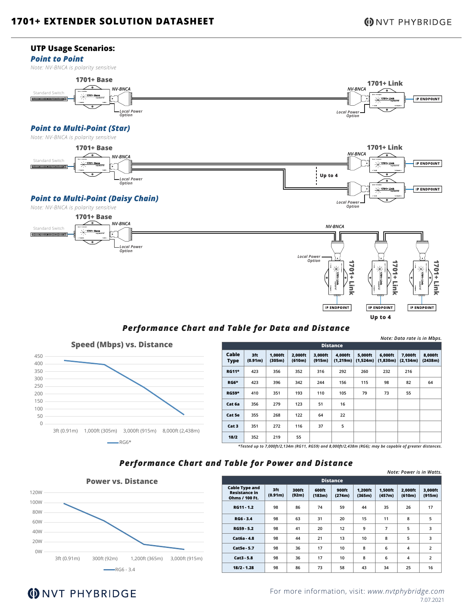*Note: Data rate is in Mbps.*

#### **UTP Usage Scenarios:**

#### *Point to Point*

*Note: NV-BNCA is polarity sensitive*



# *Performance Chart and Table for Data and Distance*



| <b>Distance</b>                                                                                          |                |                   |                   |                   |                      |                     |                     |                      |                    |
|----------------------------------------------------------------------------------------------------------|----------------|-------------------|-------------------|-------------------|----------------------|---------------------|---------------------|----------------------|--------------------|
| Cable<br><b>Type</b>                                                                                     | 3ft<br>(0.91m) | 1.000ft<br>(305m) | 2,000ft<br>(610m) | 3,000ft<br>(915m) | 4,000ft<br>(1, 219m) | 5,000ft<br>(1,524m) | 6,000ft<br>(1,830m) | 7,000ft<br>(2, 134m) | 8,000ft<br>(2438m) |
| <b>RG11*</b>                                                                                             | 423            | 356               | 352               | 316               | 292                  | 260                 | 232                 | 216                  |                    |
| <b>RG6*</b>                                                                                              | 423            | 396               | 342               | 244               | 156                  | 115                 | 98                  | 82                   | 64                 |
| <b>RG59*</b>                                                                                             | 410            | 351               | 193               | 110               | 105                  | 79                  | 73                  | 55                   |                    |
| Cat 6a                                                                                                   | 356            | 279               | 123               | 51                | 16                   |                     |                     |                      |                    |
| Cat 5e                                                                                                   | 355            | 268               | 122               | 64                | 22                   |                     |                     |                      |                    |
| Cat 3                                                                                                    | 351            | 272               | 116               | 37                | 5                    |                     |                     |                      |                    |
| 18/2                                                                                                     | 352            | 219               | 55                |                   |                      |                     |                     |                      |                    |
| *Tested up to 7,000ft/2,134m (RG11, RG59) and 8,000ft/2,438m (RG6); may be capable of greater distances. |                |                   |                   |                   |                      |                     |                     |                      |                    |

## *Performance Chart and Table for Power and Distance*



|                                                                 |                |                |                 |                 |                   |                   |                   | Note: Power is in Watts. |
|-----------------------------------------------------------------|----------------|----------------|-----------------|-----------------|-------------------|-------------------|-------------------|--------------------------|
| <b>Distance</b>                                                 |                |                |                 |                 |                   |                   |                   |                          |
| <b>Cable Type and</b><br><b>Resistance in</b><br>Ohms / 100 Ft. | 3ft<br>(0.91m) | 300ft<br>(92m) | 600ft<br>(183m) | 900ft<br>(274m) | 1.200ft<br>(365m) | 1.500ft<br>(457m) | 2.000ft<br>(610m) | 3.000ft<br>(915m)        |
| RG11 - 1.2                                                      | 98             | 86             | 74              | 59              | 44                | 35                | 26                | 17                       |
| $RG6 - 3.4$                                                     | 98             | 63             | 31              | 20              | 15                | 11                | 8                 | 5                        |
| RG59 5.2                                                        | 98             | 41             | 20              | 12              | 9                 | 7                 | 5                 | 3                        |
| Cat6a - 4.8                                                     | 98             | 44             | 21              | 13              | 10                | 8                 | 5                 | 3                        |
| Cat5e - 5.7                                                     | 98             | 36             | 17              | 10              | 8                 | 6                 | 4                 | $\overline{2}$           |
| $Cat3 - 5.8$                                                    | 98             | 36             | 17              | 10              | 8                 | 6                 | 4                 | $\overline{2}$           |
| $18/2 - 1.28$                                                   | 98             | 86             | 73              | 58              | 43                | 34                | 25                | 16                       |

# **(DNVT PHYBRIDGE**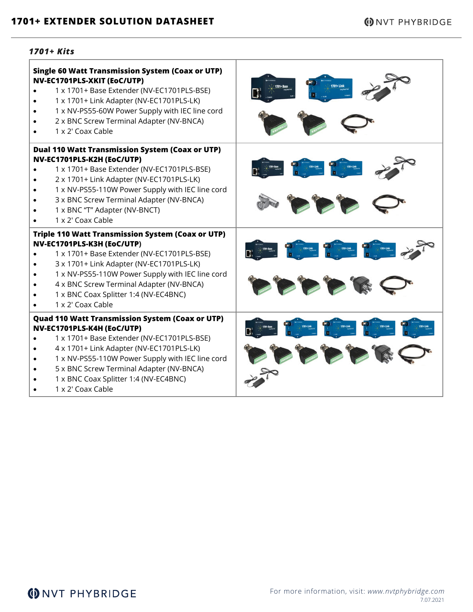#### *1701+ Kits*

Г

| <b>Single 60 Watt Transmission System (Coax or UTP)</b><br>NV-EC1701PLS-XKIT (EoC/UTP)<br>1 x 1701+ Base Extender (NV-EC1701PLS-BSE)<br>1 x 1701+ Link Adapter (NV-EC1701PLS-LK)<br>1 x NV-PS55-60W Power Supply with IEC line cord<br>2 x BNC Screw Terminal Adapter (NV-BNCA)<br>1 x 2' Coax Cable                                           | 1701+ Link                                                                                                 |
|------------------------------------------------------------------------------------------------------------------------------------------------------------------------------------------------------------------------------------------------------------------------------------------------------------------------------------------------|------------------------------------------------------------------------------------------------------------|
| <b>Dual 110 Watt Transmission System (Coax or UTP)</b><br>NV-EC1701PLS-K2H (EoC/UTP)<br>1 x 1701+ Base Extender (NV-EC1701PLS-BSE)<br>2 x 1701+ Link Adapter (NV-EC1701PLS-LK)<br>1 x NV-PS55-110W Power Supply with IEC line cord<br>3 x BNC Screw Terminal Adapter (NV-BNCA)<br>1 x BNC "T" Adapter (NV-BNCT)<br>1 x 2' Coax Cable           | B. P. R. R. P. R. R. P. R. R.<br>$\bullet$ $\bullet$ $\bullet$ $\circ$                                     |
| <b>Triple 110 Watt Transmission System (Coax or UTP)</b><br>NV-EC1701PLS-K3H (EoC/UTP)<br>1 x 1701+ Base Extender (NV-EC1701PLS-BSE)<br>3 x 1701+ Link Adapter (NV-EC1701PLS-LK)<br>1 x NV-PS55-110W Power Supply with IEC line cord<br>4 x BNC Screw Terminal Adapter (NV-BNCA)<br>1 x BNC Coax Splitter 1:4 (NV-EC4BNC)<br>1 x 2' Coax Cable | $n = 2 - 2$<br>PPPPRO                                                                                      |
| <b>Quad 110 Watt Transmission System (Coax or UTP)</b><br>NV-EC1701PLS-K4H (EoC/UTP)<br>1 x 1701+ Base Extender (NV-EC1701PLS-BSE)<br>4 x 1701+ Link Adapter (NV-EC1701PLS-LK)<br>1 x NV-PS55-110W Power Supply with IEC line cord<br>5 x BNC Screw Terminal Adapter (NV-BNCA)<br>1 x BNC Coax Splitter 1:4 (NV-EC4BNC)<br>1 x 2' Coax Cable   | BERTHE REAL REAL<br>$\mathcal{P} \curvearrowleft \mathcal{P} \curvearrowright \curvearrowleft \mathcal{P}$ |

т